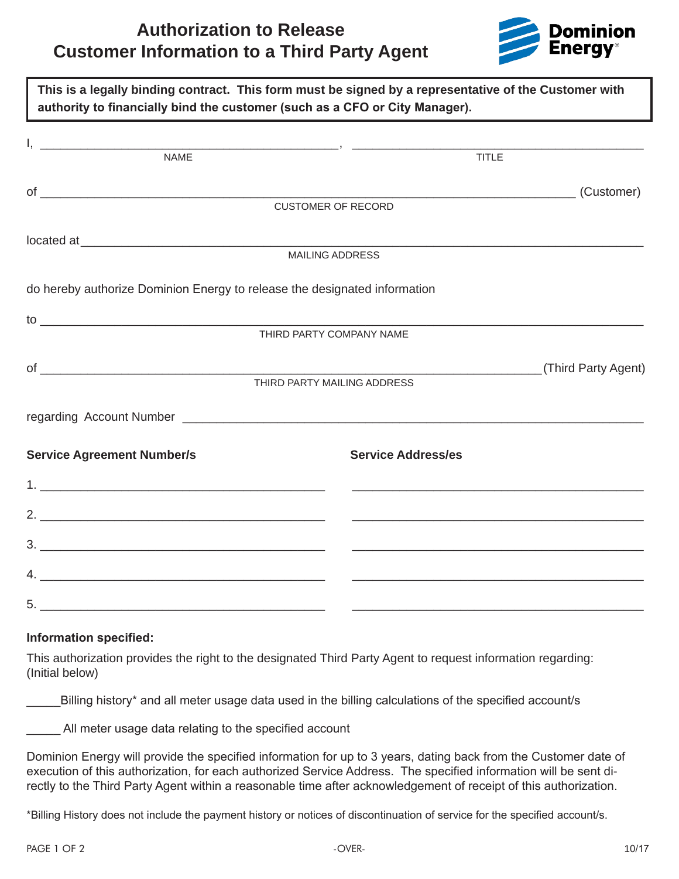# **Authorization to Release Customer Information to a Third Party Agent**



| authority to financially bind the customer (such as a CFO or City Manager). | This is a legally binding contract. This form must be signed by a representative of the Customer with                                |
|-----------------------------------------------------------------------------|--------------------------------------------------------------------------------------------------------------------------------------|
|                                                                             |                                                                                                                                      |
| <b>NAME</b>                                                                 | <b>TITLE</b>                                                                                                                         |
|                                                                             | (Customer)<br><u> Alexandro Alexandro Alexandro Alexandro Alexandro Alexandro Alexandro Alexandro Alexandro Alexandro Alexandro </u> |
|                                                                             | <b>CUSTOMER OF RECORD</b>                                                                                                            |
|                                                                             |                                                                                                                                      |
|                                                                             | <b>MAILING ADDRESS</b>                                                                                                               |
| do hereby authorize Dominion Energy to release the designated information   |                                                                                                                                      |
|                                                                             |                                                                                                                                      |
|                                                                             | THIRD PARTY COMPANY NAME                                                                                                             |
|                                                                             | (Third Party Agent)                                                                                                                  |
|                                                                             | THIRD PARTY MAILING ADDRESS                                                                                                          |
|                                                                             |                                                                                                                                      |
| <b>Service Agreement Number/s</b>                                           | <b>Service Address/es</b>                                                                                                            |
|                                                                             |                                                                                                                                      |
|                                                                             |                                                                                                                                      |
|                                                                             |                                                                                                                                      |
|                                                                             |                                                                                                                                      |
|                                                                             |                                                                                                                                      |

### **Information specified:**

This authorization provides the right to the designated Third Party Agent to request information regarding: (Initial below)

Billing history\* and all meter usage data used in the billing calculations of the specified account/s

All meter usage data relating to the specified account

Dominion Energy will provide the specified information for up to 3 years, dating back from the Customer date of execution of this authorization, for each authorized Service Address. The specified information will be sent directly to the Third Party Agent within a reasonable time after acknowledgement of receipt of this authorization.

\*Billing History does not include the payment history or notices of discontinuation of service for the specified account/s.